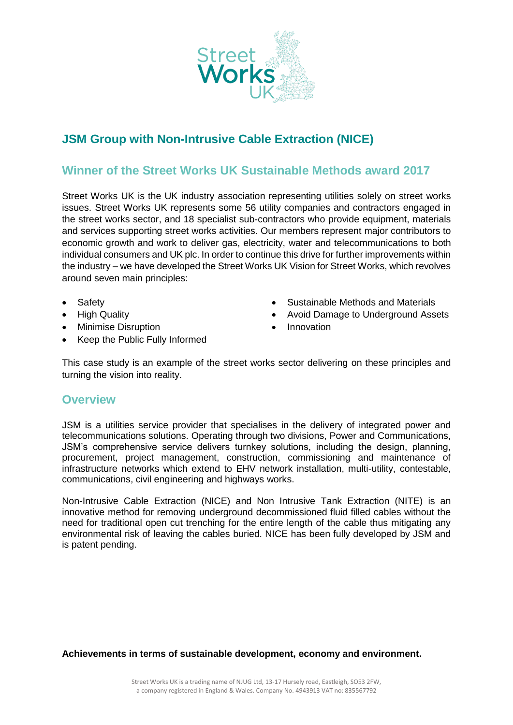

## **JSM Group with Non-Intrusive Cable Extraction (NICE)**

## **Winner of the Street Works UK Sustainable Methods award 2017**

Street Works UK is the UK industry association representing utilities solely on street works issues. Street Works UK represents some 56 utility companies and contractors engaged in the street works sector, and 18 specialist sub-contractors who provide equipment, materials and services supporting street works activities. Our members represent major contributors to economic growth and work to deliver gas, electricity, water and telecommunications to both individual consumers and UK plc. In order to continue this drive for further improvements within the industry – we have developed the Street Works UK Vision for Street Works, which revolves around seven main principles:

- Safety
- High Quality
- Minimise Disruption
- Keep the Public Fully Informed
- Sustainable Methods and Materials
- Avoid Damage to Underground Assets
- Innovation

This case study is an example of the street works sector delivering on these principles and turning the vision into reality.

## **Overview**

JSM is a utilities service provider that specialises in the delivery of integrated power and telecommunications solutions. Operating through two divisions, Power and Communications, JSM's comprehensive service delivers turnkey solutions, including the design, planning, procurement, project management, construction, commissioning and maintenance of infrastructure networks which extend to EHV network installation, multi-utility, contestable, communications, civil engineering and highways works.

Non-Intrusive Cable Extraction (NICE) and Non Intrusive Tank Extraction (NITE) is an innovative method for removing underground decommissioned fluid filled cables without the need for traditional open cut trenching for the entire length of the cable thus mitigating any environmental risk of leaving the cables buried. NICE has been fully developed by JSM and is patent pending.

**Achievements in terms of sustainable development, economy and environment.**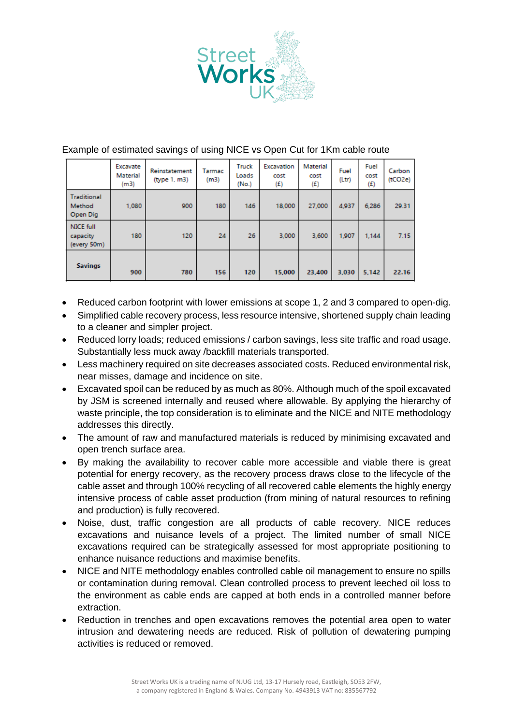

|                                          | Excavate<br>Material<br>(m3) | Reinstatement<br>(type 1, m3) | Tarmac<br>(m3) | Truck<br>Loads<br>(No.) | Excavation<br>cost<br>(E) | Material<br>cost<br>(f) | Fuel<br>(Ltr) | Fuel<br>cost<br>(f) | Carbon<br>(tCO2e) |
|------------------------------------------|------------------------------|-------------------------------|----------------|-------------------------|---------------------------|-------------------------|---------------|---------------------|-------------------|
| <b>Traditional</b><br>Method<br>Open Dig | 1,080                        | 900                           | 180            | 146                     | 18,000                    | 27,000                  | 4.937         | 6,286               | 29.31             |
| NICE full<br>capacity<br>(every 50m)     | 180                          | 120                           | 24             | 26                      | 3,000                     | 3.600                   | 1,907         | 1.144               | 7.15              |
| <b>Savings</b>                           | 900                          | 780                           | 156            | 120                     | 15,000                    | 23,400                  | 3.030         | 5,142               | 22.16             |

## Example of estimated savings of using NICE vs Open Cut for 1Km cable route

- Reduced carbon footprint with lower emissions at scope 1, 2 and 3 compared to open-dig.
- Simplified cable recovery process, less resource intensive, shortened supply chain leading to a cleaner and simpler project.
- Reduced lorry loads; reduced emissions / carbon savings, less site traffic and road usage. Substantially less muck away /backfill materials transported.
- Less machinery required on site decreases associated costs. Reduced environmental risk, near misses, damage and incidence on site.
- Excavated spoil can be reduced by as much as 80%. Although much of the spoil excavated by JSM is screened internally and reused where allowable. By applying the hierarchy of waste principle, the top consideration is to eliminate and the NICE and NITE methodology addresses this directly.
- The amount of raw and manufactured materials is reduced by minimising excavated and open trench surface area.
- By making the availability to recover cable more accessible and viable there is great potential for energy recovery, as the recovery process draws close to the lifecycle of the cable asset and through 100% recycling of all recovered cable elements the highly energy intensive process of cable asset production (from mining of natural resources to refining and production) is fully recovered.
- Noise, dust, traffic congestion are all products of cable recovery. NICE reduces excavations and nuisance levels of a project. The limited number of small NICE excavations required can be strategically assessed for most appropriate positioning to enhance nuisance reductions and maximise benefits.
- NICE and NITE methodology enables controlled cable oil management to ensure no spills or contamination during removal. Clean controlled process to prevent leeched oil loss to the environment as cable ends are capped at both ends in a controlled manner before extraction.
- Reduction in trenches and open excavations removes the potential area open to water intrusion and dewatering needs are reduced. Risk of pollution of dewatering pumping activities is reduced or removed.